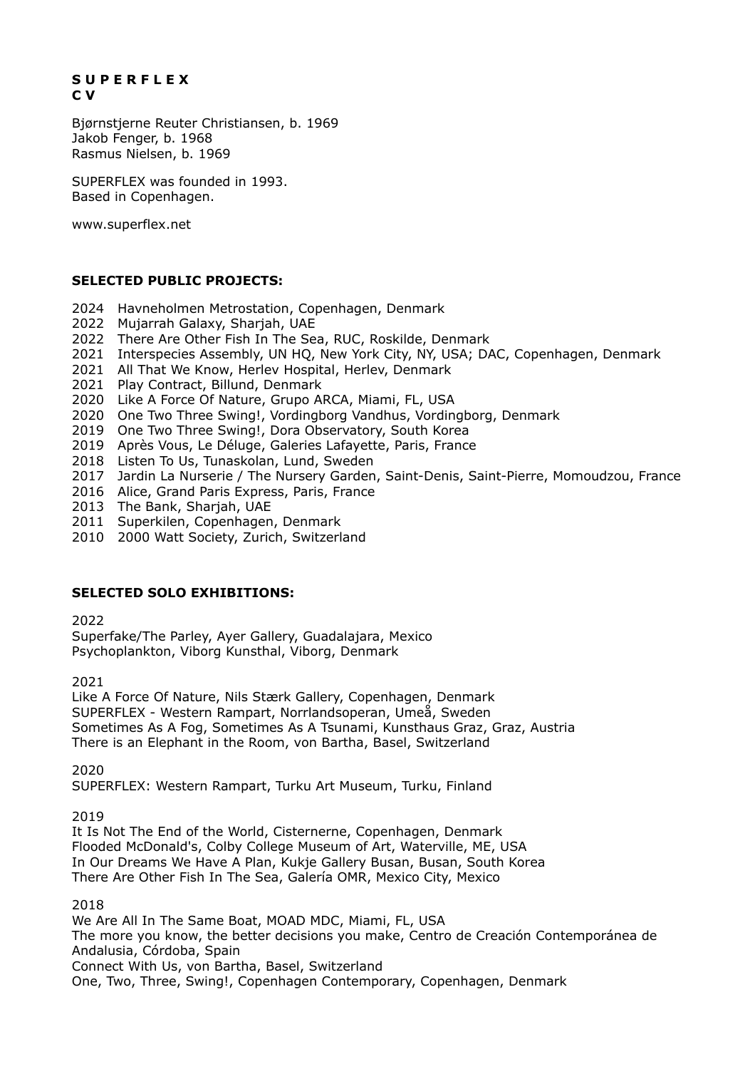## **S U P E R F L E X C V**

Bjørnstjerne Reuter Christiansen, b. 1969 Jakob Fenger, b. 1968 Rasmus Nielsen, b. 1969

SUPERFLEX was founded in 1993. Based in Copenhagen.

www.superflex.net

# **SELECTED PUBLIC PROJECTS:**

- 2024 Havneholmen Metrostation, Copenhagen, Denmark
- 2022 Mujarrah Galaxy, Sharjah, UAE
- 2022 There Are Other Fish In The Sea, RUC, Roskilde, Denmark
- 2021 Interspecies Assembly, UN HQ, New York City, NY, USA; DAC, Copenhagen, Denmark
- 2021 All That We Know, Herlev Hospital, Herlev, Denmark
- 2021 Play Contract, Billund, Denmark
- 2020 Like A Force Of Nature, Grupo ARCA, Miami, FL, USA
- 2020 One Two Three Swing!, Vordingborg Vandhus, Vordingborg, Denmark
- 2019 One Two Three Swing!, Dora Observatory, South Korea
- 2019 Après Vous, Le Déluge, Galeries Lafayette, Paris, France
- 2018 Listen To Us, Tunaskolan, Lund, Sweden
- 2017 Jardin La Nurserie / The Nursery Garden, Saint-Denis, Saint-Pierre, Momoudzou, France
- 2016 Alice, Grand Paris Express, Paris, France
- 2013 The Bank, Sharjah, UAE
- 2011 Superkilen, Copenhagen, Denmark
- 2010 2000 Watt Society, Zurich, Switzerland

#### **SELECTED SOLO EXHIBITIONS:**

2022

Superfake/The Parley, Ayer Gallery, Guadalajara, Mexico Psychoplankton, Viborg Kunsthal, Viborg, Denmark

2021

Like A Force Of Nature, Nils Stærk Gallery, Copenhagen, Denmark SUPERFLEX - Western Rampart, Norrlandsoperan, Umeå, Sweden Sometimes As A Fog, Sometimes As A Tsunami, Kunsthaus Graz, Graz, Austria There is an Elephant in the Room, von Bartha, Basel, Switzerland

2020

SUPERFLEX: Western Rampart, Turku Art Museum, Turku, Finland

2019

It Is Not The End of the World, Cisternerne, Copenhagen, Denmark Flooded McDonald's, Colby College Museum of Art, Waterville, ME, USA In Our Dreams We Have A Plan, Kukje Gallery Busan, Busan, South Korea There Are Other Fish In The Sea, Galería OMR, Mexico City, Mexico

2018

We Are All In The Same Boat, MOAD MDC, Miami, FL, USA The more you know, the better decisions you make, Centro de Creación Contemporánea de Andalusia, Córdoba, Spain Connect With Us, von Bartha, Basel, Switzerland One, Two, Three, Swing!, Copenhagen Contemporary, Copenhagen, Denmark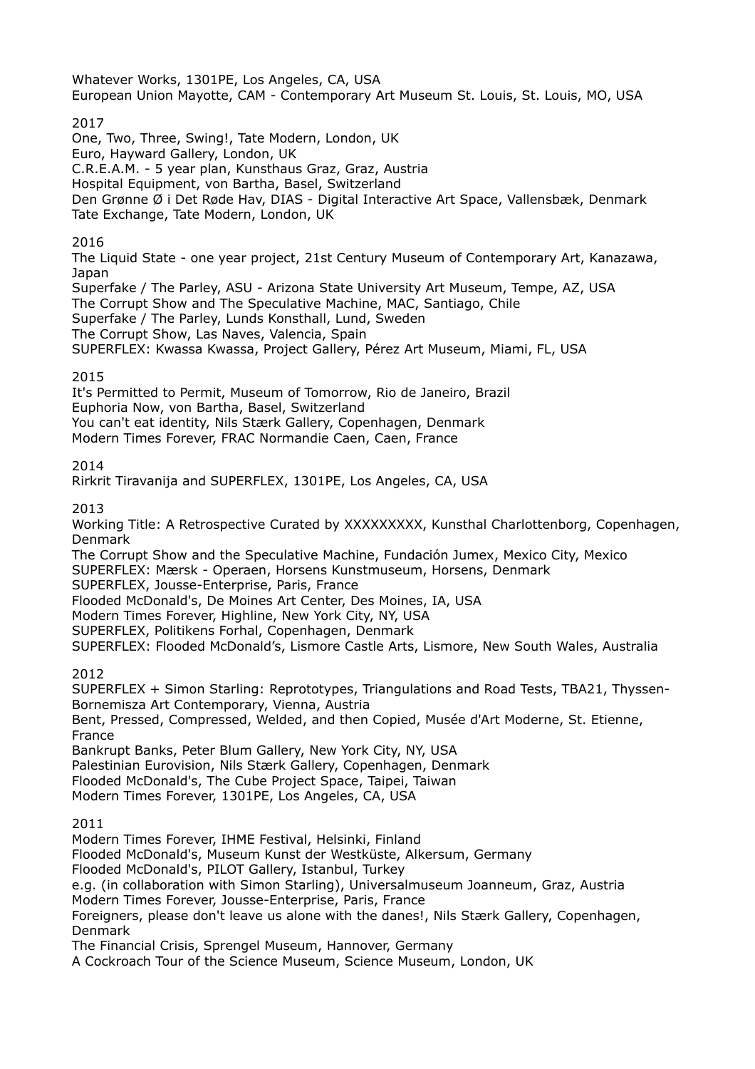Whatever Works, 1301PE, Los Angeles, CA, USA European Union Mayotte, CAM - Contemporary Art Museum St. Louis, St. Louis, MO, USA 2017 One, Two, Three, Swing!, Tate Modern, London, UK Euro, Hayward Gallery, London, UK C.R.E.A.M. - 5 year plan, Kunsthaus Graz, Graz, Austria Hospital Equipment, von Bartha, Basel, Switzerland Den Grønne Ø i Det Røde Hav, DIAS - Digital Interactive Art Space, Vallensbæk, Denmark Tate Exchange, Tate Modern, London, UK 2016 The Liquid State - one year project, 21st Century Museum of Contemporary Art, Kanazawa, Japan Superfake / The Parley, ASU - Arizona State University Art Museum, Tempe, AZ, USA The Corrupt Show and The Speculative Machine, MAC, Santiago, Chile Superfake / The Parley, Lunds Konsthall, Lund, Sweden The Corrupt Show, Las Naves, Valencia, Spain SUPERFLEX: Kwassa Kwassa, Project Gallery, Pérez Art Museum, Miami, FL, USA 2015 It's Permitted to Permit, Museum of Tomorrow, Rio de Janeiro, Brazil Euphoria Now, von Bartha, Basel, Switzerland You can't eat identity, Nils Stærk Gallery, Copenhagen, Denmark Modern Times Forever, FRAC Normandie Caen, Caen, France 2014 Rirkrit Tiravanija and SUPERFLEX, 1301PE, Los Angeles, CA, USA 2013 Working Title: A Retrospective Curated by XXXXXXXXX, Kunsthal Charlottenborg, Copenhagen, Denmark The Corrupt Show and the Speculative Machine, Fundación Jumex, Mexico City, Mexico SUPERFLEX: Mærsk - Operaen, Horsens Kunstmuseum, Horsens, Denmark SUPERFLEX, Jousse-Enterprise, Paris, France Flooded McDonald's, De Moines Art Center, Des Moines, IA, USA Modern Times Forever, Highline, New York City, NY, USA SUPERFLEX, Politikens Forhal, Copenhagen, Denmark SUPERFLEX: Flooded McDonald's, Lismore Castle Arts, Lismore, New South Wales, Australia 2012 SUPERFLEX + Simon Starling: Reprototypes, Triangulations and Road Tests, TBA21, Thyssen-Bornemisza Art Contemporary, Vienna, Austria Bent, Pressed, Compressed, Welded, and then Copied, Musée d'Art Moderne, St. Etienne, France Bankrupt Banks, Peter Blum Gallery, New York City, NY, USA Palestinian Eurovision, Nils Stærk Gallery, Copenhagen, Denmark Flooded McDonald's, The Cube Project Space, Taipei, Taiwan Modern Times Forever, 1301PE, Los Angeles, CA, USA 2011 Modern Times Forever, IHME Festival, Helsinki, Finland Flooded McDonald's, Museum Kunst der Westküste, Alkersum, Germany Flooded McDonald's, PILOT Gallery, Istanbul, Turkey e.g. (in collaboration with Simon Starling), Universalmuseum Joanneum, Graz, Austria Modern Times Forever, Jousse-Enterprise, Paris, France Foreigners, please don't leave us alone with the danes!, Nils Stærk Gallery, Copenhagen, Denmark The Financial Crisis, Sprengel Museum, Hannover, Germany A Cockroach Tour of the Science Museum, Science Museum, London, UK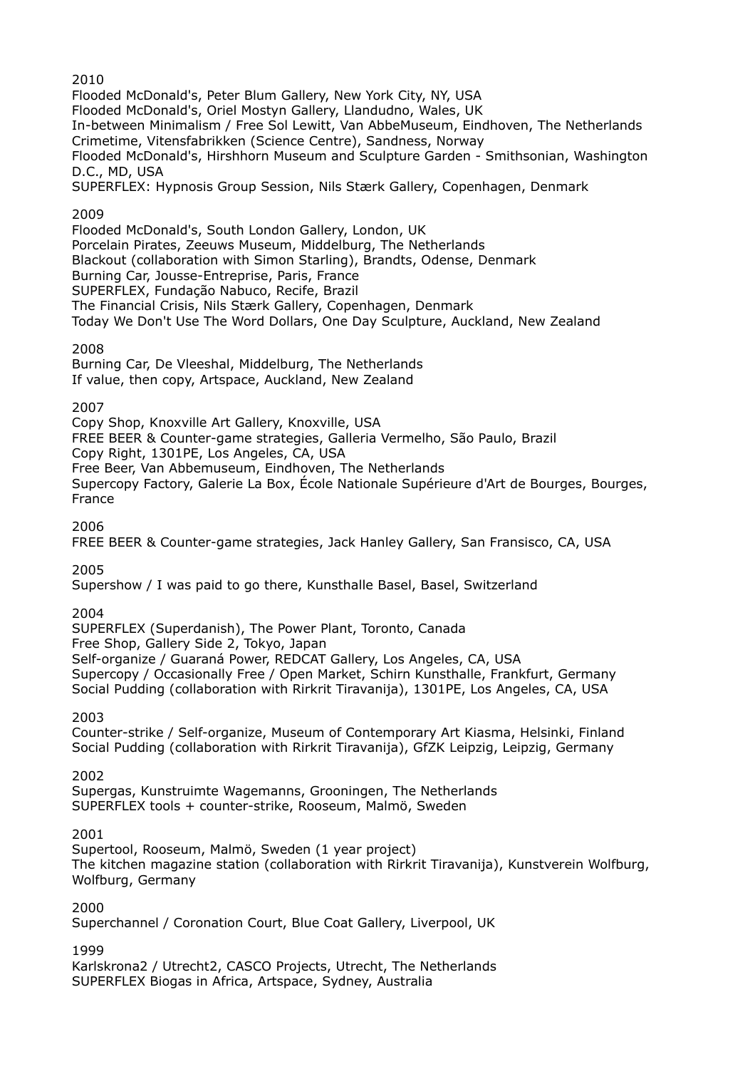2010

Flooded McDonald's, Peter Blum Gallery, New York City, NY, USA Flooded McDonald's, Oriel Mostyn Gallery, Llandudno, Wales, UK In-between Minimalism / Free Sol Lewitt, Van AbbeMuseum, Eindhoven, The Netherlands Crimetime, Vitensfabrikken (Science Centre), Sandness, Norway Flooded McDonald's, Hirshhorn Museum and Sculpture Garden - Smithsonian, Washington D.C., MD, USA SUPERFLEX: Hypnosis Group Session, Nils Stærk Gallery, Copenhagen, Denmark 2009

Flooded McDonald's, South London Gallery, London, UK Porcelain Pirates, Zeeuws Museum, Middelburg, The Netherlands Blackout (collaboration with Simon Starling), Brandts, Odense, Denmark Burning Car, Jousse-Entreprise, Paris, France SUPERFLEX, Fundação Nabuco, Recife, Brazil

The Financial Crisis, Nils Stærk Gallery, Copenhagen, Denmark Today We Don't Use The Word Dollars, One Day Sculpture, Auckland, New Zealand

# 2008

Burning Car, De Vleeshal, Middelburg, The Netherlands If value, then copy, Artspace, Auckland, New Zealand

## 2007

Copy Shop, Knoxville Art Gallery, Knoxville, USA FREE BEER & Counter-game strategies, Galleria Vermelho, São Paulo, Brazil Copy Right, 1301PE, Los Angeles, CA, USA Free Beer, Van Abbemuseum, Eindhoven, The Netherlands Supercopy Factory, Galerie La Box, École Nationale Supérieure d'Art de Bourges, Bourges, France

2006

FREE BEER & Counter-game strategies, Jack Hanley Gallery, San Fransisco, CA, USA

# 2005

Supershow / I was paid to go there, Kunsthalle Basel, Basel, Switzerland

# 2004

SUPERFLEX (Superdanish), The Power Plant, Toronto, Canada Free Shop, Gallery Side 2, Tokyo, Japan Self-organize / Guaraná Power, REDCAT Gallery, Los Angeles, CA, USA Supercopy / Occasionally Free / Open Market, Schirn Kunsthalle, Frankfurt, Germany Social Pudding (collaboration with Rirkrit Tiravanija), 1301PE, Los Angeles, CA, USA

2003

Counter-strike / Self-organize, Museum of Contemporary Art Kiasma, Helsinki, Finland Social Pudding (collaboration with Rirkrit Tiravanija), GfZK Leipzig, Leipzig, Germany

2002

Supergas, Kunstruimte Wagemanns, Grooningen, The Netherlands SUPERFLEX tools + counter-strike, Rooseum, Malmö, Sweden

#### 2001

Supertool, Rooseum, Malmö, Sweden (1 year project) The kitchen magazine station (collaboration with Rirkrit Tiravanija), Kunstverein Wolfburg, Wolfburg, Germany

2000

Superchannel / Coronation Court, Blue Coat Gallery, Liverpool, UK

#### 1999

Karlskrona2 / Utrecht2, CASCO Projects, Utrecht, The Netherlands SUPERFLEX Biogas in Africa, Artspace, Sydney, Australia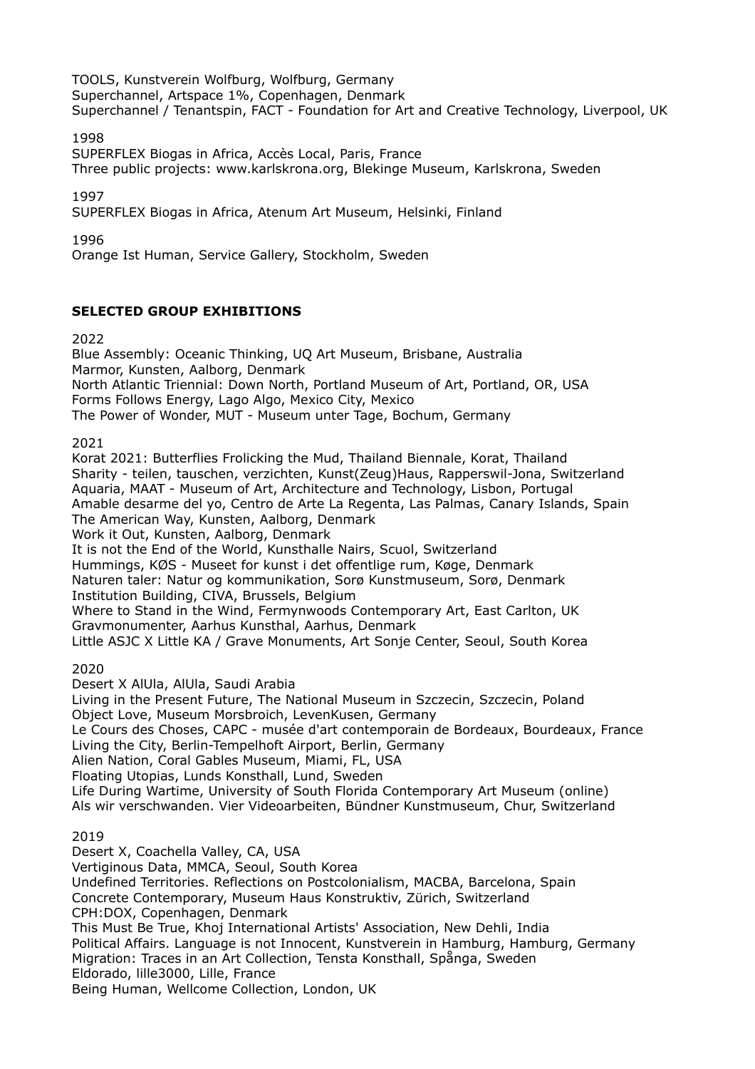TOOLS, Kunstverein Wolfburg, Wolfburg, Germany Superchannel, Artspace 1%, Copenhagen, Denmark Superchannel / Tenantspin, FACT - Foundation for Art and Creative Technology, Liverpool, UK

1998

SUPERFLEX Biogas in Africa, Accès Local, Paris, France Three public projects: www.karlskrona.org, Blekinge Museum, Karlskrona, Sweden

1997

SUPERFLEX Biogas in Africa, Atenum Art Museum, Helsinki, Finland

1996

Orange Ist Human, Service Gallery, Stockholm, Sweden

## **SELECTED GROUP EXHIBITIONS**

2022

Blue Assembly: Oceanic Thinking, UQ Art Museum, Brisbane, Australia Marmor, Kunsten, Aalborg, Denmark North Atlantic Triennial: Down North, Portland Museum of Art, Portland, OR, USA Forms Follows Energy, Lago Algo, Mexico City, Mexico The Power of Wonder, MUT - Museum unter Tage, Bochum, Germany

2021

Korat 2021: Butterflies Frolicking the Mud, Thailand Biennale, Korat, Thailand Sharity - teilen, tauschen, verzichten, Kunst(Zeug)Haus, Rapperswil-Jona, Switzerland Aquaria, MAAT - Museum of Art, Architecture and Technology, Lisbon, Portugal Amable desarme del yo, Centro de Arte La Regenta, Las Palmas, Canary Islands, Spain The American Way, Kunsten, Aalborg, Denmark Work it Out, Kunsten, Aalborg, Denmark It is not the End of the World, Kunsthalle Nairs, Scuol, Switzerland Hummings, KØS - Museet for kunst i det offentlige rum, Køge, Denmark Naturen taler: Natur og kommunikation, Sorø Kunstmuseum, Sorø, Denmark Institution Building, CIVA, Brussels, Belgium Where to Stand in the Wind, Fermynwoods Contemporary Art, East Carlton, UK Gravmonumenter, Aarhus Kunsthal, Aarhus, Denmark Little ASJC X Little KA / Grave Monuments, Art Sonje Center, Seoul, South Korea

2020

Desert X AlUla, AlUla, Saudi Arabia

Living in the Present Future, The National Museum in Szczecin, Szczecin, Poland Object Love, Museum Morsbroich, LevenKusen, Germany

Le Cours des Choses, CAPC - musée d'art contemporain de Bordeaux, Bourdeaux, France Living the City, Berlin-Tempelhoft Airport, Berlin, Germany

Alien Nation, Coral Gables Museum, Miami, FL, USA

Floating Utopias, Lunds Konsthall, Lund, Sweden

Life During Wartime, University of South Florida Contemporary Art Museum (online)

Als wir verschwanden. Vier Videoarbeiten, Bündner Kunstmuseum, Chur, Switzerland

2019

Desert X, Coachella Valley, CA, USA Vertiginous Data, MMCA, Seoul, South Korea Undefined Territories. Reflections on Postcolonialism, MACBA, Barcelona, Spain Concrete Contemporary, Museum Haus Konstruktiv, Zürich, Switzerland CPH:DOX, Copenhagen, Denmark This Must Be True, Khoj International Artists' Association, New Dehli, India Political Affairs. Language is not Innocent, Kunstverein in Hamburg, Hamburg, Germany Migration: Traces in an Art Collection, Tensta Konsthall, Spånga, Sweden Eldorado, lille3000, Lille, France Being Human, Wellcome Collection, London, UK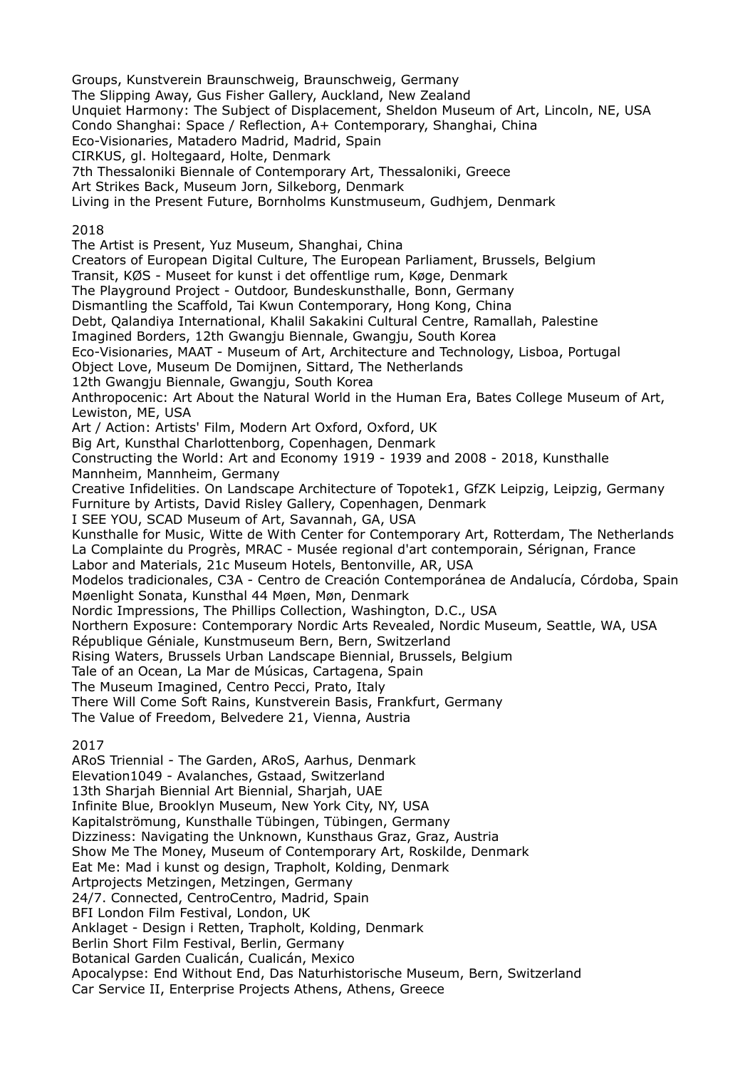Groups, Kunstverein Braunschweig, Braunschweig, Germany The Slipping Away, Gus Fisher Gallery, Auckland, New Zealand Unquiet Harmony: The Subject of Displacement, Sheldon Museum of Art, Lincoln, NE, USA Condo Shanghai: Space / Reflection, A+ Contemporary, Shanghai, China Eco-Visionaries, Matadero Madrid, Madrid, Spain CIRKUS, gl. Holtegaard, Holte, Denmark 7th Thessaloniki Biennale of Contemporary Art, Thessaloniki, Greece Art Strikes Back, Museum Jorn, Silkeborg, Denmark Living in the Present Future, Bornholms Kunstmuseum, Gudhjem, Denmark 2018 The Artist is Present, Yuz Museum, Shanghai, China Creators of European Digital Culture, The European Parliament, Brussels, Belgium Transit, KØS - Museet for kunst i det offentlige rum, Køge, Denmark The Playground Project - Outdoor, Bundeskunsthalle, Bonn, Germany Dismantling the Scaffold, Tai Kwun Contemporary, Hong Kong, China Debt, Qalandiya International, Khalil Sakakini Cultural Centre, Ramallah, Palestine Imagined Borders, 12th Gwangju Biennale, Gwangju, South Korea Eco-Visionaries, MAAT - Museum of Art, Architecture and Technology, Lisboa, Portugal Object Love, Museum De Domijnen, Sittard, The Netherlands 12th Gwangju Biennale, Gwangju, South Korea Anthropocenic: Art About the Natural World in the Human Era, Bates College Museum of Art, Lewiston, ME, USA Art / Action: Artists' Film, Modern Art Oxford, Oxford, UK Big Art, Kunsthal Charlottenborg, Copenhagen, Denmark Constructing the World: Art and Economy 1919 - 1939 and 2008 - 2018, Kunsthalle Mannheim, Mannheim, Germany Creative Infidelities. On Landscape Architecture of Topotek1, GfZK Leipzig, Leipzig, Germany Furniture by Artists, David Risley Gallery, Copenhagen, Denmark I SEE YOU, SCAD Museum of Art, Savannah, GA, USA Kunsthalle for Music, Witte de With Center for Contemporary Art, Rotterdam, The Netherlands La Complainte du Progrès, MRAC - Musée regional d'art contemporain, Sérignan, France Labor and Materials, 21c Museum Hotels, Bentonville, AR, USA Modelos tradicionales, C3A - Centro de Creación Contemporánea de Andalucía, Córdoba, Spain Møenlight Sonata, Kunsthal 44 Møen, Møn, Denmark Nordic Impressions, The Phillips Collection, Washington, D.C., USA Northern Exposure: Contemporary Nordic Arts Revealed, Nordic Museum, Seattle, WA, USA République Géniale, Kunstmuseum Bern, Bern, Switzerland Rising Waters, Brussels Urban Landscape Biennial, Brussels, Belgium Tale of an Ocean, La Mar de Músicas, Cartagena, Spain The Museum Imagined, Centro Pecci, Prato, Italy There Will Come Soft Rains, Kunstverein Basis, Frankfurt, Germany The Value of Freedom, Belvedere 21, Vienna, Austria 2017 ARoS Triennial - The Garden, ARoS, Aarhus, Denmark Elevation1049 - Avalanches, Gstaad, Switzerland 13th Sharjah Biennial Art Biennial, Sharjah, UAE Infinite Blue, Brooklyn Museum, New York City, NY, USA Kapitalströmung, Kunsthalle Tübingen, Tübingen, Germany Dizziness: Navigating the Unknown, Kunsthaus Graz, Graz, Austria Show Me The Money, Museum of Contemporary Art, Roskilde, Denmark Eat Me: Mad i kunst og design, Trapholt, Kolding, Denmark Artprojects Metzingen, Metzingen, Germany 24/7. Connected, CentroCentro, Madrid, Spain BFI London Film Festival, London, UK Anklaget - Design i Retten, Trapholt, Kolding, Denmark Berlin Short Film Festival, Berlin, Germany Botanical Garden Cualicán, Cualicán, Mexico

Apocalypse: End Without End, Das Naturhistorische Museum, Bern, Switzerland

Car Service II, Enterprise Projects Athens, Athens, Greece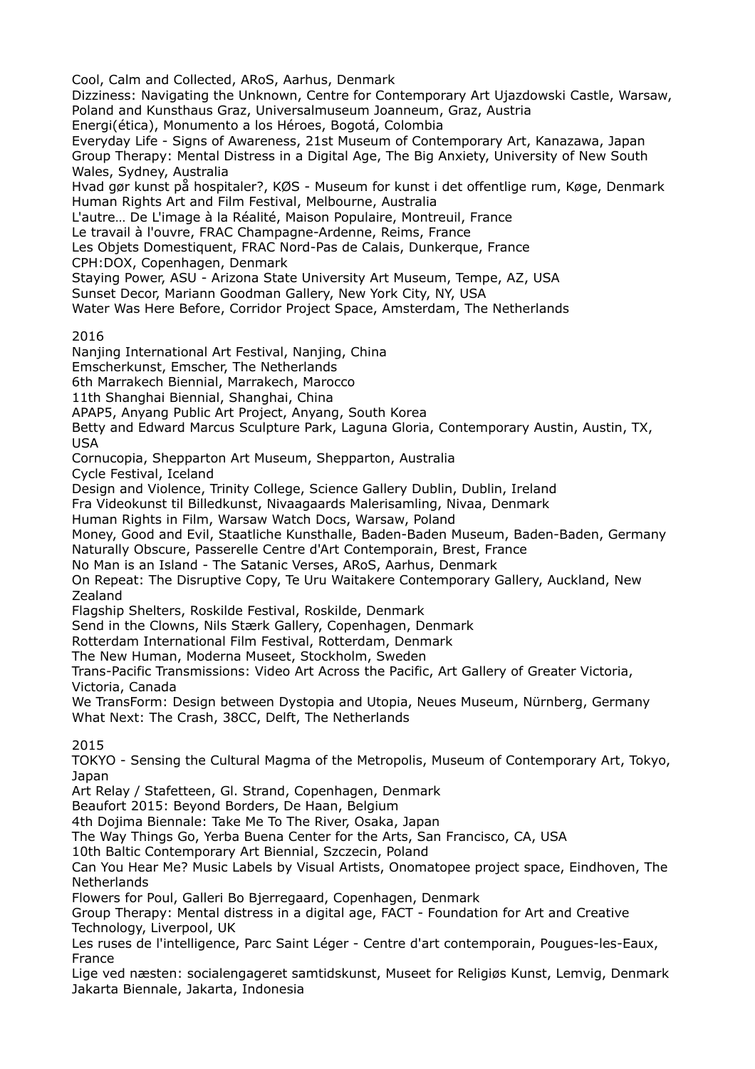Cool, Calm and Collected, ARoS, Aarhus, Denmark Dizziness: Navigating the Unknown, Centre for Contemporary Art Ujazdowski Castle, Warsaw, Poland and Kunsthaus Graz, Universalmuseum Joanneum, Graz, Austria Energi(ética), Monumento a los Héroes, Bogotá, Colombia Everyday Life - Signs of Awareness, 21st Museum of Contemporary Art, Kanazawa, Japan Group Therapy: Mental Distress in a Digital Age, The Big Anxiety, University of New South Wales, Sydney, Australia Hvad gør kunst på hospitaler?, KØS - Museum for kunst i det offentlige rum, Køge, Denmark Human Rights Art and Film Festival, Melbourne, Australia L'autre… De L'image à la Réalité, Maison Populaire, Montreuil, France Le travail à l'ouvre, FRAC Champagne-Ardenne, Reims, France Les Objets Domestiquent, FRAC Nord-Pas de Calais, Dunkerque, France CPH:DOX, Copenhagen, Denmark Staying Power, ASU - Arizona State University Art Museum, Tempe, AZ, USA Sunset Decor, Mariann Goodman Gallery, New York City, NY, USA Water Was Here Before, Corridor Project Space, Amsterdam, The Netherlands 2016 Nanjing International Art Festival, Nanjing, China Emscherkunst, Emscher, The Netherlands 6th Marrakech Biennial, Marrakech, Marocco 11th Shanghai Biennial, Shanghai, China APAP5, Anyang Public Art Project, Anyang, South Korea Betty and Edward Marcus Sculpture Park, Laguna Gloria, Contemporary Austin, Austin, TX, USA Cornucopia, Shepparton Art Museum, Shepparton, Australia Cycle Festival, Iceland Design and Violence, Trinity College, Science Gallery Dublin, Dublin, Ireland Fra Videokunst til Billedkunst, Nivaagaards Malerisamling, Nivaa, Denmark Human Rights in Film, Warsaw Watch Docs, Warsaw, Poland Money, Good and Evil, Staatliche Kunsthalle, Baden-Baden Museum, Baden-Baden, Germany Naturally Obscure, Passerelle Centre d'Art Contemporain, Brest, France No Man is an Island - The Satanic Verses, ARoS, Aarhus, Denmark On Repeat: The Disruptive Copy, Te Uru Waitakere Contemporary Gallery, Auckland, New Zealand Flagship Shelters, Roskilde Festival, Roskilde, Denmark Send in the Clowns, Nils Stærk Gallery, Copenhagen, Denmark Rotterdam International Film Festival, Rotterdam, Denmark The New Human, Moderna Museet, Stockholm, Sweden Trans-Pacific Transmissions: Video Art Across the Pacific, Art Gallery of Greater Victoria, Victoria, Canada We TransForm: Design between Dystopia and Utopia, Neues Museum, Nürnberg, Germany What Next: The Crash, 38CC, Delft, The Netherlands 2015 TOKYO - Sensing the Cultural Magma of the Metropolis, Museum of Contemporary Art, Tokyo, Japan Art Relay / Stafetteen, Gl. Strand, Copenhagen, Denmark Beaufort 2015: Beyond Borders, De Haan, Belgium 4th Dojima Biennale: Take Me To The River, Osaka, Japan The Way Things Go, Yerba Buena Center for the Arts, San Francisco, CA, USA 10th Baltic Contemporary Art Biennial, Szczecin, Poland Can You Hear Me? Music Labels by Visual Artists, Onomatopee project space, Eindhoven, The Netherlands Flowers for Poul, Galleri Bo Bjerregaard, Copenhagen, Denmark Group Therapy: Mental distress in a digital age, FACT - Foundation for Art and Creative Technology, Liverpool, UK Les ruses de l'intelligence, Parc Saint Léger - Centre d'art contemporain, Pougues-les-Eaux, France Lige ved næsten: socialengageret samtidskunst, Museet for Religiøs Kunst, Lemvig, Denmark Jakarta Biennale, Jakarta, Indonesia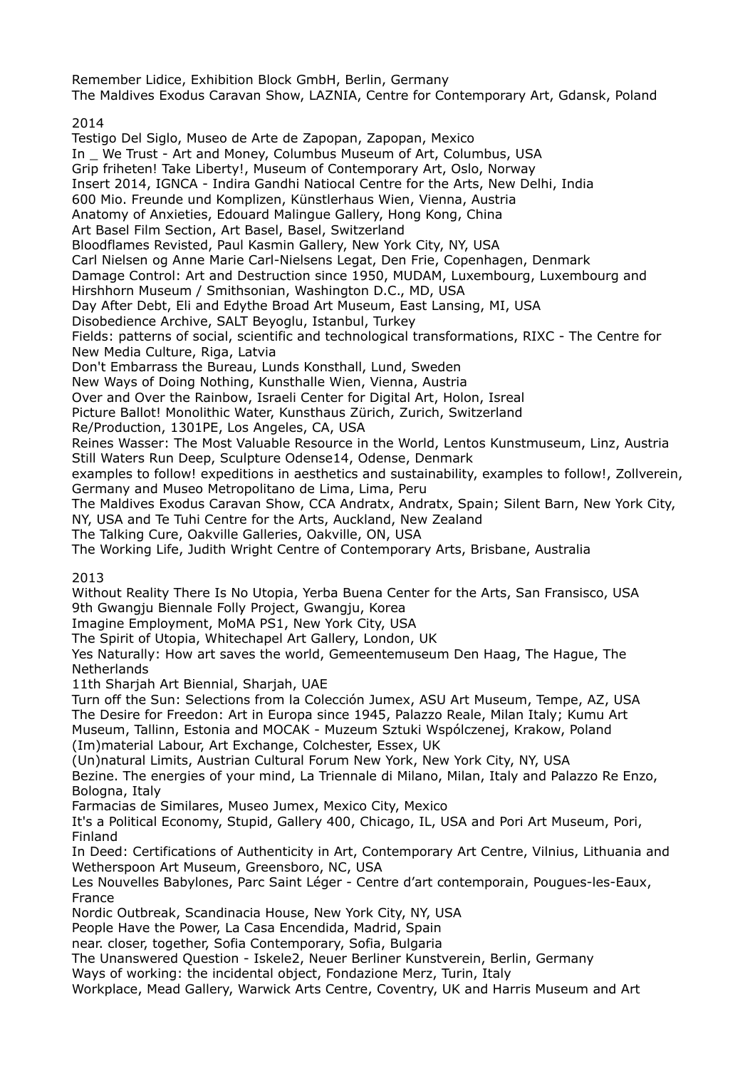Remember Lidice, Exhibition Block GmbH, Berlin, Germany The Maldives Exodus Caravan Show, LAZNIA, Centre for Contemporary Art, Gdansk, Poland

# 2014

Testigo Del Siglo, Museo de Arte de Zapopan, Zapopan, Mexico In \_ We Trust - Art and Money, Columbus Museum of Art, Columbus, USA Grip friheten! Take Liberty!, Museum of Contemporary Art, Oslo, Norway Insert 2014, IGNCA - Indira Gandhi Natiocal Centre for the Arts, New Delhi, India 600 Mio. Freunde und Komplizen, Künstlerhaus Wien, Vienna, Austria Anatomy of Anxieties, Edouard Malingue Gallery, Hong Kong, China Art Basel Film Section, Art Basel, Basel, Switzerland Bloodflames Revisted, Paul Kasmin Gallery, New York City, NY, USA Carl Nielsen og Anne Marie Carl-Nielsens Legat, Den Frie, Copenhagen, Denmark Damage Control: Art and Destruction since 1950, MUDAM, Luxembourg, Luxembourg and Hirshhorn Museum / Smithsonian, Washington D.C., MD, USA Day After Debt, Eli and Edythe Broad Art Museum, East Lansing, MI, USA Disobedience Archive, SALT Beyoglu, Istanbul, Turkey Fields: patterns of social, scientific and technological transformations, RIXC - The Centre for New Media Culture, Riga, Latvia Don't Embarrass the Bureau, Lunds Konsthall, Lund, Sweden New Ways of Doing Nothing, Kunsthalle Wien, Vienna, Austria Over and Over the Rainbow, Israeli Center for Digital Art, Holon, Isreal Picture Ballot! Monolithic Water, Kunsthaus Zürich, Zurich, Switzerland Re/Production, 1301PE, Los Angeles, CA, USA Reines Wasser: The Most Valuable Resource in the World, Lentos Kunstmuseum, Linz, Austria Still Waters Run Deep, Sculpture Odense14, Odense, Denmark examples to follow! expeditions in aesthetics and sustainability, examples to follow!, Zollverein, Germany and Museo Metropolitano de Lima, Lima, Peru The Maldives Exodus Caravan Show, CCA Andratx, Andratx, Spain; Silent Barn, New York City, NY, USA and Te Tuhi Centre for the Arts, Auckland, New Zealand The Talking Cure, Oakville Galleries, Oakville, ON, USA The Working Life, Judith Wright Centre of Contemporary Arts, Brisbane, Australia 2013 Without Reality There Is No Utopia, Yerba Buena Center for the Arts, San Fransisco, USA 9th Gwangju Biennale Folly Project, Gwangju, Korea Imagine Employment, MoMA PS1, New York City, USA The Spirit of Utopia, Whitechapel Art Gallery, London, UK Yes Naturally: How art saves the world, Gemeentemuseum Den Haag, The Hague, The Netherlands 11th Sharjah Art Biennial, Sharjah, UAE Turn off the Sun: Selections from la Colección Jumex, ASU Art Museum, Tempe, AZ, USA The Desire for Freedon: Art in Europa since 1945, Palazzo Reale, Milan Italy; Kumu Art Museum, Tallinn, Estonia and MOCAK - Muzeum Sztuki Wspólczenej, Krakow, Poland (Im)material Labour, Art Exchange, Colchester, Essex, UK (Un)natural Limits, Austrian Cultural Forum New York, New York City, NY, USA Bezine. The energies of your mind, La Triennale di Milano, Milan, Italy and Palazzo Re Enzo, Bologna, Italy Farmacias de Similares, Museo Jumex, Mexico City, Mexico It's a Political Economy, Stupid, Gallery 400, Chicago, IL, USA and Pori Art Museum, Pori, Finland In Deed: Certifications of Authenticity in Art, Contemporary Art Centre, Vilnius, Lithuania and Wetherspoon Art Museum, Greensboro, NC, USA Les Nouvelles Babylones, Parc Saint Léger - Centre d'art contemporain, Pougues-les-Eaux, France Nordic Outbreak, Scandinacia House, New York City, NY, USA People Have the Power, La Casa Encendida, Madrid, Spain near. closer, together, Sofia Contemporary, Sofia, Bulgaria The Unanswered Question - Iskele2, Neuer Berliner Kunstverein, Berlin, Germany Ways of working: the incidental object, Fondazione Merz, Turin, Italy Workplace, Mead Gallery, Warwick Arts Centre, Coventry, UK and Harris Museum and Art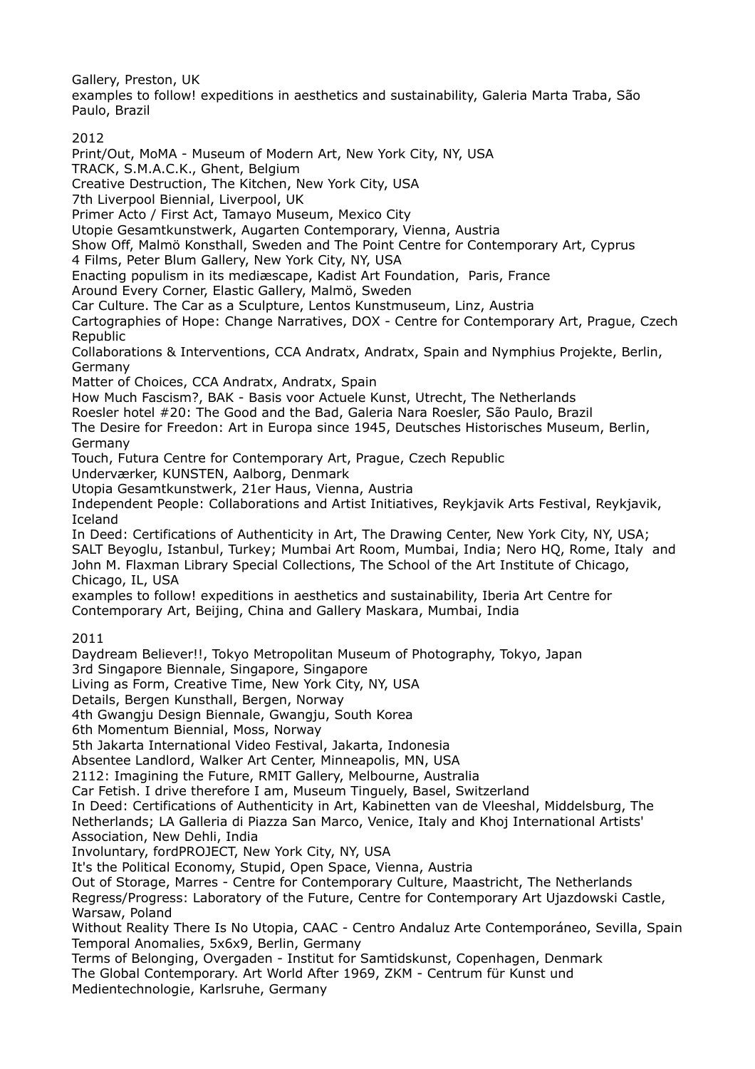Gallery, Preston, UK

examples to follow! expeditions in aesthetics and sustainability, Galeria Marta Traba, São Paulo, Brazil

2012

Print/Out, MoMA - Museum of Modern Art, New York City, NY, USA

TRACK, S.M.A.C.K., Ghent, Belgium

Creative Destruction, The Kitchen, New York City, USA

7th Liverpool Biennial, Liverpool, UK

Primer Acto / First Act, Tamayo Museum, Mexico City

Utopie Gesamtkunstwerk, Augarten Contemporary, Vienna, Austria

Show Off, Malmö Konsthall, Sweden and The Point Centre for Contemporary Art, Cyprus

4 Films, Peter Blum Gallery, New York City, NY, USA

Enacting populism in its mediæscape, Kadist Art Foundation, Paris, France

Around Every Corner, Elastic Gallery, Malmö, Sweden

Car Culture. The Car as a Sculpture, Lentos Kunstmuseum, Linz, Austria

Cartographies of Hope: Change Narratives, DOX - Centre for Contemporary Art, Prague, Czech Republic

Collaborations & Interventions, CCA Andratx, Andratx, Spain and Nymphius Projekte, Berlin, Germany

Matter of Choices, CCA Andratx, Andratx, Spain

How Much Fascism?, BAK - Basis voor Actuele Kunst, Utrecht, The Netherlands

Roesler hotel #20: The Good and the Bad, Galeria Nara Roesler, São Paulo, Brazil

The Desire for Freedon: Art in Europa since 1945, Deutsches Historisches Museum, Berlin, Germany

Touch, Futura Centre for Contemporary Art, Prague, Czech Republic

Underværker, KUNSTEN, Aalborg, Denmark

Utopia Gesamtkunstwerk, 21er Haus, Vienna, Austria

Independent People: Collaborations and Artist Initiatives, Reykjavik Arts Festival, Reykjavik, Iceland

In Deed: Certifications of Authenticity in Art, The Drawing Center, New York City, NY, USA; SALT Beyoglu, Istanbul, Turkey; Mumbai Art Room, Mumbai, India; Nero HQ, Rome, Italy and John M. Flaxman Library Special Collections, The School of the Art Institute of Chicago, Chicago, IL, USA

examples to follow! expeditions in aesthetics and sustainability, Iberia Art Centre for Contemporary Art, Beijing, China and Gallery Maskara, Mumbai, India

2011

Daydream Believer!!, Tokyo Metropolitan Museum of Photography, Tokyo, Japan 3rd Singapore Biennale, Singapore, Singapore

Living as Form, Creative Time, New York City, NY, USA

Details, Bergen Kunsthall, Bergen, Norway

4th Gwangju Design Biennale, Gwangju, South Korea

6th Momentum Biennial, Moss, Norway

5th Jakarta International Video Festival, Jakarta, Indonesia

Absentee Landlord, Walker Art Center, Minneapolis, MN, USA

2112: Imagining the Future, RMIT Gallery, Melbourne, Australia

Car Fetish. I drive therefore I am, Museum Tinguely, Basel, Switzerland

In Deed: Certifications of Authenticity in Art, Kabinetten van de Vleeshal, Middelsburg, The Netherlands; LA Galleria di Piazza San Marco, Venice, Italy and Khoj International Artists' Association, New Dehli, India

Involuntary, fordPROJECT, New York City, NY, USA

It's the Political Economy, Stupid, Open Space, Vienna, Austria

Out of Storage, Marres - Centre for Contemporary Culture, Maastricht, The Netherlands

Regress/Progress: Laboratory of the Future, Centre for Contemporary Art Ujazdowski Castle, Warsaw, Poland

Without Reality There Is No Utopia, CAAC - Centro Andaluz Arte Contemporáneo, Sevilla, Spain Temporal Anomalies, 5x6x9, Berlin, Germany

Terms of Belonging, Overgaden - Institut for Samtidskunst, Copenhagen, Denmark The Global Contemporary. Art World After 1969, ZKM - Centrum für Kunst und Medientechnologie, Karlsruhe, Germany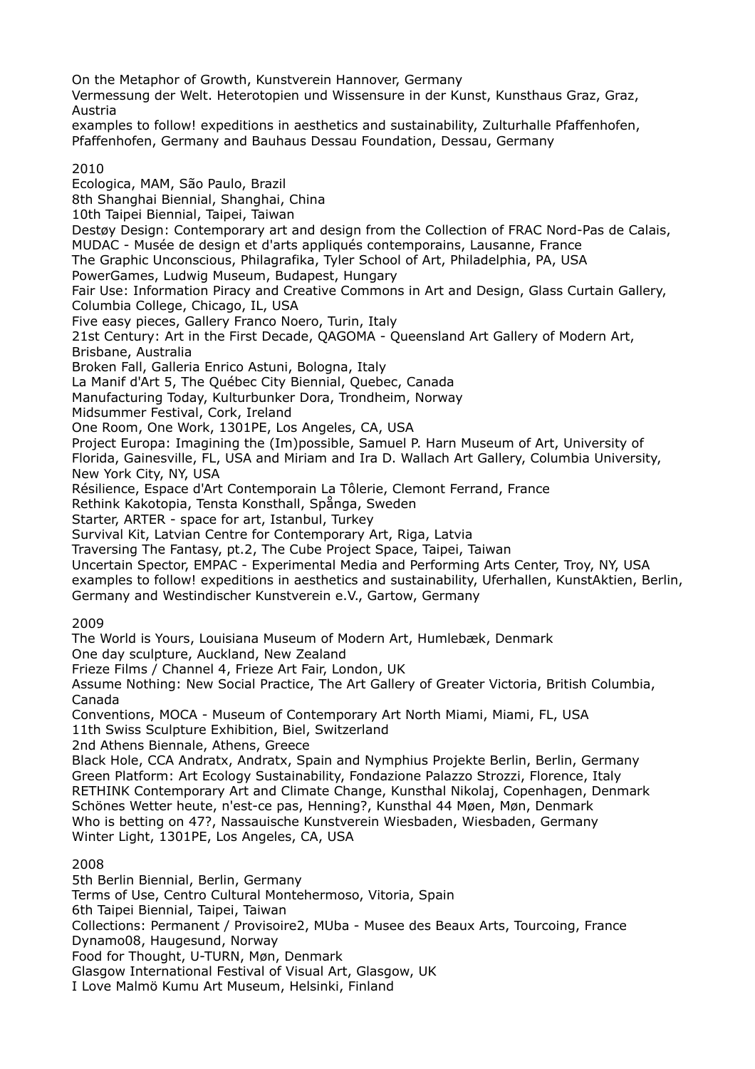On the Metaphor of Growth, Kunstverein Hannover, Germany Vermessung der Welt. Heterotopien und Wissensure in der Kunst, Kunsthaus Graz, Graz, Austria examples to follow! expeditions in aesthetics and sustainability, Zulturhalle Pfaffenhofen, Pfaffenhofen, Germany and Bauhaus Dessau Foundation, Dessau, Germany 2010 Ecologica, MAM, São Paulo, Brazil 8th Shanghai Biennial, Shanghai, China 10th Taipei Biennial, Taipei, Taiwan Destøy Design: Contemporary art and design from the Collection of FRAC Nord-Pas de Calais, MUDAC - Musée de design et d'arts appliqués contemporains, Lausanne, France The Graphic Unconscious, Philagrafika, Tyler School of Art, Philadelphia, PA, USA PowerGames, Ludwig Museum, Budapest, Hungary Fair Use: Information Piracy and Creative Commons in Art and Design, Glass Curtain Gallery, Columbia College, Chicago, IL, USA Five easy pieces, Gallery Franco Noero, Turin, Italy 21st Century: Art in the First Decade, QAGOMA - Queensland Art Gallery of Modern Art, Brisbane, Australia Broken Fall, Galleria Enrico Astuni, Bologna, Italy La Manif d'Art 5, The Québec City Biennial, Quebec, Canada Manufacturing Today, Kulturbunker Dora, Trondheim, Norway Midsummer Festival, Cork, Ireland One Room, One Work, 1301PE, Los Angeles, CA, USA Project Europa: Imagining the (Im)possible, Samuel P. Harn Museum of Art, University of Florida, Gainesville, FL, USA and Miriam and Ira D. Wallach Art Gallery, Columbia University, New York City, NY, USA Résilience, Espace d'Art Contemporain La Tôlerie, Clemont Ferrand, France Rethink Kakotopia, Tensta Konsthall, Spånga, Sweden Starter, ARTER - space for art, Istanbul, Turkey Survival Kit, Latvian Centre for Contemporary Art, Riga, Latvia Traversing The Fantasy, pt.2, The Cube Project Space, Taipei, Taiwan Uncertain Spector, EMPAC - Experimental Media and Performing Arts Center, Troy, NY, USA examples to follow! expeditions in aesthetics and sustainability, Uferhallen, KunstAktien, Berlin, Germany and Westindischer Kunstverein e.V., Gartow, Germany 2009 The World is Yours, Louisiana Museum of Modern Art, Humlebæk, Denmark One day sculpture, Auckland, New Zealand Frieze Films / Channel 4, Frieze Art Fair, London, UK Assume Nothing: New Social Practice, The Art Gallery of Greater Victoria, British Columbia, Canada Conventions, MOCA - Museum of Contemporary Art North Miami, Miami, FL, USA 11th Swiss Sculpture Exhibition, Biel, Switzerland 2nd Athens Biennale, Athens, Greece Black Hole, CCA Andratx, Andratx, Spain and Nymphius Projekte Berlin, Berlin, Germany Green Platform: Art Ecology Sustainability, Fondazione Palazzo Strozzi, Florence, Italy RETHINK Contemporary Art and Climate Change, Kunsthal Nikolaj, Copenhagen, Denmark Schönes Wetter heute, n'est-ce pas, Henning?, Kunsthal 44 Møen, Møn, Denmark Who is betting on 47?, Nassauische Kunstverein Wiesbaden, Wiesbaden, Germany Winter Light, 1301PE, Los Angeles, CA, USA 2008 5th Berlin Biennial, Berlin, Germany Terms of Use, Centro Cultural Montehermoso, Vitoria, Spain 6th Taipei Biennial, Taipei, Taiwan Collections: Permanent / Provisoire2, MUba - Musee des Beaux Arts, Tourcoing, France Dynamo08, Haugesund, Norway Food for Thought, U-TURN, Møn, Denmark Glasgow International Festival of Visual Art, Glasgow, UK

I Love Malmö Kumu Art Museum, Helsinki, Finland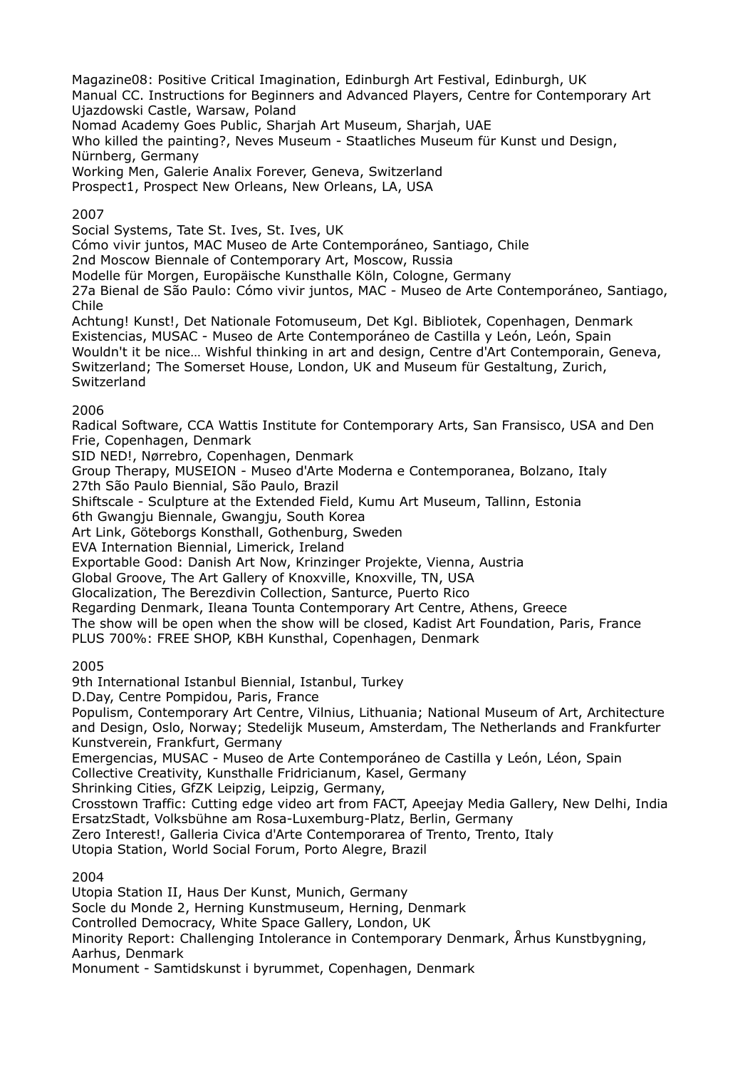Magazine08: Positive Critical Imagination, Edinburgh Art Festival, Edinburgh, UK Manual CC. Instructions for Beginners and Advanced Players, Centre for Contemporary Art Ujazdowski Castle, Warsaw, Poland

Nomad Academy Goes Public, Sharjah Art Museum, Sharjah, UAE

Who killed the painting?, Neves Museum - Staatliches Museum für Kunst und Design, Nürnberg, Germany

Working Men, Galerie Analix Forever, Geneva, Switzerland

Prospect1, Prospect New Orleans, New Orleans, LA, USA

## 2007

Social Systems, Tate St. Ives, St. Ives, UK

Cómo vivir juntos, MAC Museo de Arte Contemporáneo, Santiago, Chile

2nd Moscow Biennale of Contemporary Art, Moscow, Russia

Modelle für Morgen, Europäische Kunsthalle Köln, Cologne, Germany

27a Bienal de São Paulo: Cómo vivir juntos, MAC - Museo de Arte Contemporáneo, Santiago, Chile

Achtung! Kunst!, Det Nationale Fotomuseum, Det Kgl. Bibliotek, Copenhagen, Denmark Existencias, MUSAC - Museo de Arte Contemporáneo de Castilla y León, León, Spain Wouldn't it be nice… Wishful thinking in art and design, Centre d'Art Contemporain, Geneva, Switzerland; The Somerset House, London, UK and Museum für Gestaltung, Zurich, **Switzerland** 

## 2006

Radical Software, CCA Wattis Institute for Contemporary Arts, San Fransisco, USA and Den Frie, Copenhagen, Denmark

SID NED!, Nørrebro, Copenhagen, Denmark

Group Therapy, MUSEION - Museo d'Arte Moderna e Contemporanea, Bolzano, Italy 27th São Paulo Biennial, São Paulo, Brazil

Shiftscale - Sculpture at the Extended Field, Kumu Art Museum, Tallinn, Estonia

6th Gwangju Biennale, Gwangju, South Korea

Art Link, Göteborgs Konsthall, Gothenburg, Sweden

EVA Internation Biennial, Limerick, Ireland

Exportable Good: Danish Art Now, Krinzinger Projekte, Vienna, Austria

Global Groove, The Art Gallery of Knoxville, Knoxville, TN, USA

Glocalization, The Berezdivin Collection, Santurce, Puerto Rico

Regarding Denmark, Ileana Tounta Contemporary Art Centre, Athens, Greece

The show will be open when the show will be closed, Kadist Art Foundation, Paris, France PLUS 700%: FREE SHOP, KBH Kunsthal, Copenhagen, Denmark

2005

9th International Istanbul Biennial, Istanbul, Turkey

D.Day, Centre Pompidou, Paris, France

Populism, Contemporary Art Centre, Vilnius, Lithuania; National Museum of Art, Architecture and Design, Oslo, Norway; Stedelijk Museum, Amsterdam, The Netherlands and Frankfurter Kunstverein, Frankfurt, Germany

Emergencias, MUSAC - Museo de Arte Contemporáneo de Castilla y León, Léon, Spain

Collective Creativity, Kunsthalle Fridricianum, Kasel, Germany

Shrinking Cities, GfZK Leipzig, Leipzig, Germany,

Crosstown Traffic: Cutting edge video art from FACT, Apeejay Media Gallery, New Delhi, India ErsatzStadt, Volksbühne am Rosa-Luxemburg-Platz, Berlin, Germany

Zero Interest!, Galleria Civica d'Arte Contemporarea of Trento, Trento, Italy

Utopia Station, World Social Forum, Porto Alegre, Brazil

2004

Utopia Station II, Haus Der Kunst, Munich, Germany Socle du Monde 2, Herning Kunstmuseum, Herning, Denmark Controlled Democracy, White Space Gallery, London, UK Minority Report: Challenging Intolerance in Contemporary Denmark, Århus Kunstbygning, Aarhus, Denmark Monument - Samtidskunst i byrummet, Copenhagen, Denmark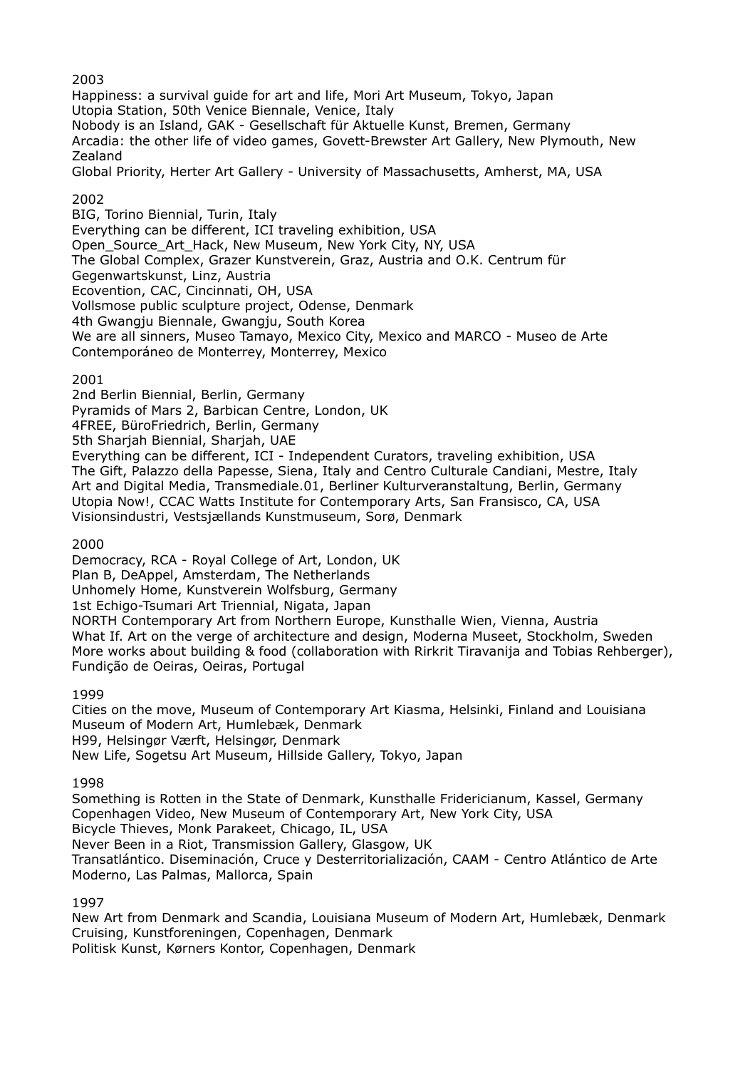2003

Happiness: a survival guide for art and life, Mori Art Museum, Tokyo, Japan Utopia Station, 50th Venice Biennale, Venice, Italy Nobody is an Island, GAK - Gesellschaft für Aktuelle Kunst, Bremen, Germany Arcadia: the other life of video games, Govett-Brewster Art Gallery, New Plymouth, New Zealand Global Priority, Herter Art Gallery - University of Massachusetts, Amherst, MA, USA

# 2002

BIG, Torino Biennial, Turin, Italy Everything can be different, ICI traveling exhibition, USA Open Source Art Hack, New Museum, New York City, NY, USA The Global Complex, Grazer Kunstverein, Graz, Austria and O.K. Centrum für Gegenwartskunst, Linz, Austria Ecovention, CAC, Cincinnati, OH, USA Vollsmose public sculpture project, Odense, Denmark 4th Gwangju Biennale, Gwangju, South Korea We are all sinners, Museo Tamayo, Mexico City, Mexico and MARCO - Museo de Arte Contemporáneo de Monterrey, Monterrey, Mexico

2001

2nd Berlin Biennial, Berlin, Germany Pyramids of Mars 2, Barbican Centre, London, UK 4FREE, BüroFriedrich, Berlin, Germany 5th Sharjah Biennial, Sharjah, UAE Everything can be different, ICI - Independent Curators, traveling exhibition, USA The Gift, Palazzo della Papesse, Siena, Italy and Centro Culturale Candiani, Mestre, Italy Art and Digital Media, Transmediale.01, Berliner Kulturveranstaltung, Berlin, Germany Utopia Now!, CCAC Watts Institute for Contemporary Arts, San Fransisco, CA, USA Visionsindustri, Vestsjællands Kunstmuseum, Sorø, Denmark

2000

Democracy, RCA - Royal College of Art, London, UK Plan B, DeAppel, Amsterdam, The Netherlands Unhomely Home, Kunstverein Wolfsburg, Germany 1st Echigo-Tsumari Art Triennial, Nigata, Japan NORTH Contemporary Art from Northern Europe, Kunsthalle Wien, Vienna, Austria What If. Art on the verge of architecture and design, Moderna Museet, Stockholm, Sweden More works about building & food (collaboration with Rirkrit Tiravanija and Tobias Rehberger), Fundição de Oeiras, Oeiras, Portugal

1999

Cities on the move, Museum of Contemporary Art Kiasma, Helsinki, Finland and Louisiana Museum of Modern Art, Humlebæk, Denmark H99, Helsingør Værft, Helsingør, Denmark New Life, Sogetsu Art Museum, Hillside Gallery, Tokyo, Japan

1998

Something is Rotten in the State of Denmark, Kunsthalle Fridericianum, Kassel, Germany Copenhagen Video, New Museum of Contemporary Art, New York City, USA Bicycle Thieves, Monk Parakeet, Chicago, IL, USA Never Been in a Riot, Transmission Gallery, Glasgow, UK Transatlántico. Diseminación, Cruce y Desterritorialización, CAAM - Centro Atlántico de Arte Moderno, Las Palmas, Mallorca, Spain

1997

New Art from Denmark and Scandia, Louisiana Museum of Modern Art, Humlebæk, Denmark Cruising, Kunstforeningen, Copenhagen, Denmark Politisk Kunst, Kørners Kontor, Copenhagen, Denmark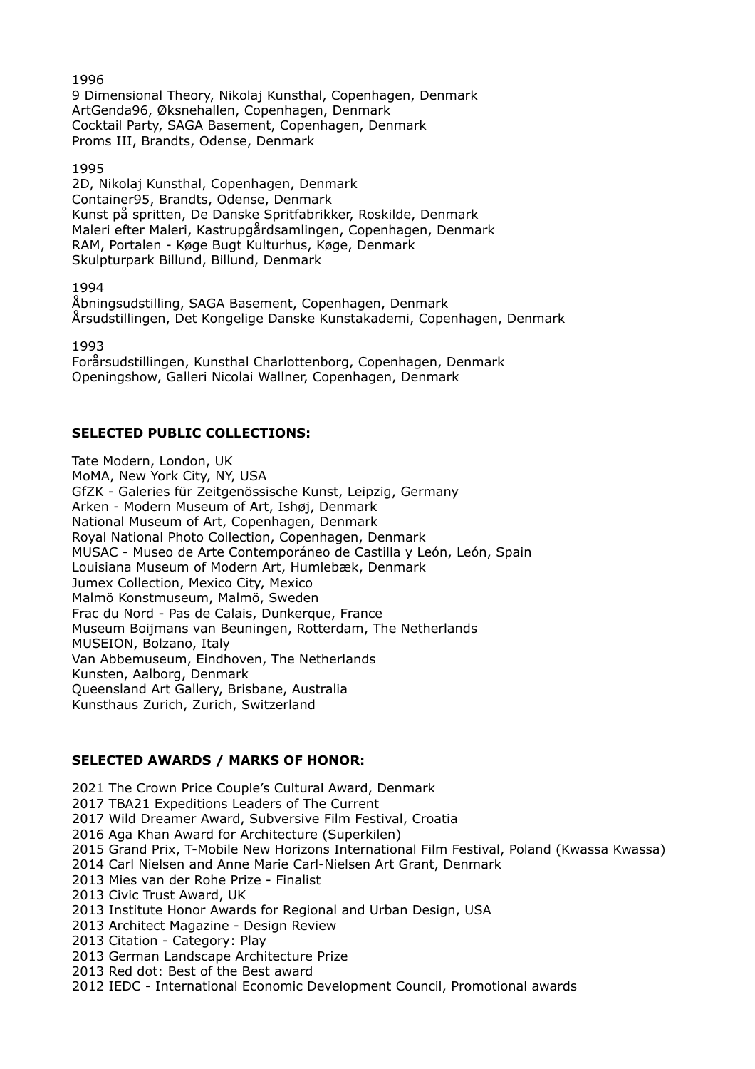9 Dimensional Theory, Nikolaj Kunsthal, Copenhagen, Denmark ArtGenda96, Øksnehallen, Copenhagen, Denmark Cocktail Party, SAGA Basement, Copenhagen, Denmark Proms III, Brandts, Odense, Denmark

1995

2D, Nikolaj Kunsthal, Copenhagen, Denmark Container95, Brandts, Odense, Denmark Kunst på spritten, De Danske Spritfabrikker, Roskilde, Denmark Maleri efter Maleri, Kastrupgårdsamlingen, Copenhagen, Denmark RAM, Portalen - Køge Bugt Kulturhus, Køge, Denmark Skulpturpark Billund, Billund, Denmark

1994

Åbningsudstilling, SAGA Basement, Copenhagen, Denmark Årsudstillingen, Det Kongelige Danske Kunstakademi, Copenhagen, Denmark

1993

Forårsudstillingen, Kunsthal Charlottenborg, Copenhagen, Denmark Openingshow, Galleri Nicolai Wallner, Copenhagen, Denmark

## **SELECTED PUBLIC COLLECTIONS:**

Tate Modern, London, UK MoMA, New York City, NY, USA GfZK - Galeries für Zeitgenössische Kunst, Leipzig, Germany Arken - Modern Museum of Art, Ishøj, Denmark National Museum of Art, Copenhagen, Denmark Royal National Photo Collection, Copenhagen, Denmark MUSAC - Museo de Arte Contemporáneo de Castilla y León, León, Spain Louisiana Museum of Modern Art, Humlebæk, Denmark Jumex Collection, Mexico City, Mexico Malmö Konstmuseum, Malmö, Sweden Frac du Nord - Pas de Calais, Dunkerque, France Museum Boijmans van Beuningen, Rotterdam, The Netherlands MUSEION, Bolzano, Italy Van Abbemuseum, Eindhoven, The Netherlands Kunsten, Aalborg, Denmark Queensland Art Gallery, Brisbane, Australia Kunsthaus Zurich, Zurich, Switzerland

#### **SELECTED AWARDS / MARKS OF HONOR:**

2021 The Crown Price Couple's Cultural Award, Denmark 2017 TBA21 Expeditions Leaders of The Current 2017 Wild Dreamer Award, Subversive Film Festival, Croatia 2016 Aga Khan Award for Architecture (Superkilen) 2015 Grand Prix, T-Mobile New Horizons International Film Festival, Poland (Kwassa Kwassa) 2014 Carl Nielsen and Anne Marie Carl-Nielsen Art Grant, Denmark 2013 Mies van der Rohe Prize - Finalist 2013 Civic Trust Award, UK 2013 Institute Honor Awards for Regional and Urban Design, USA 2013 Architect Magazine - Design Review 2013 Citation - Category: Play 2013 German Landscape Architecture Prize 2013 Red dot: Best of the Best award 2012 IEDC - International Economic Development Council, Promotional awards

1996